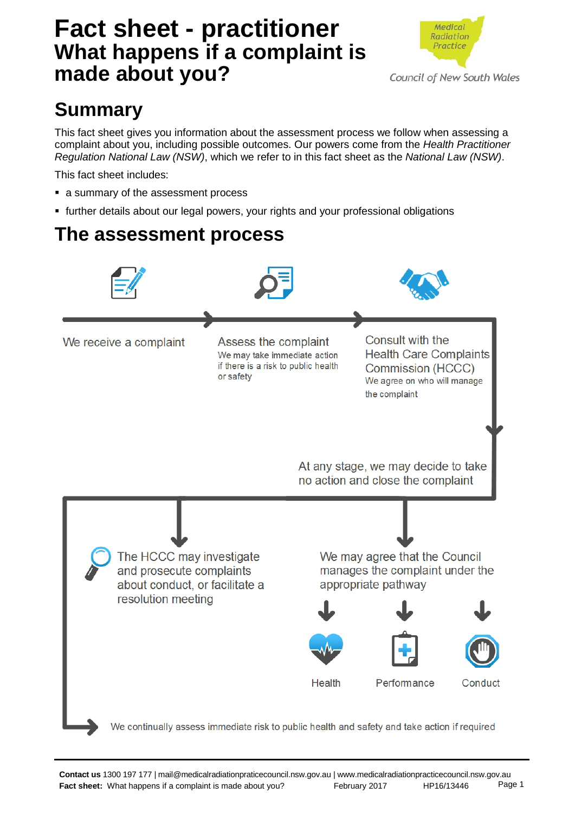# **Fact sheet - practitioner What happens if a complaint is made about you?**



# **Summary**

This fact sheet gives you information about the assessment process we follow when assessing a complaint about you, including possible outcomes. Our powers come from the *Health Practitioner Regulation National Law (NSW)*, which we refer to in this fact sheet as the *National Law (NSW)*.

This fact sheet includes:

- a summary of the assessment process
- further details about our legal powers, your rights and your professional obligations

### **The assessment process**

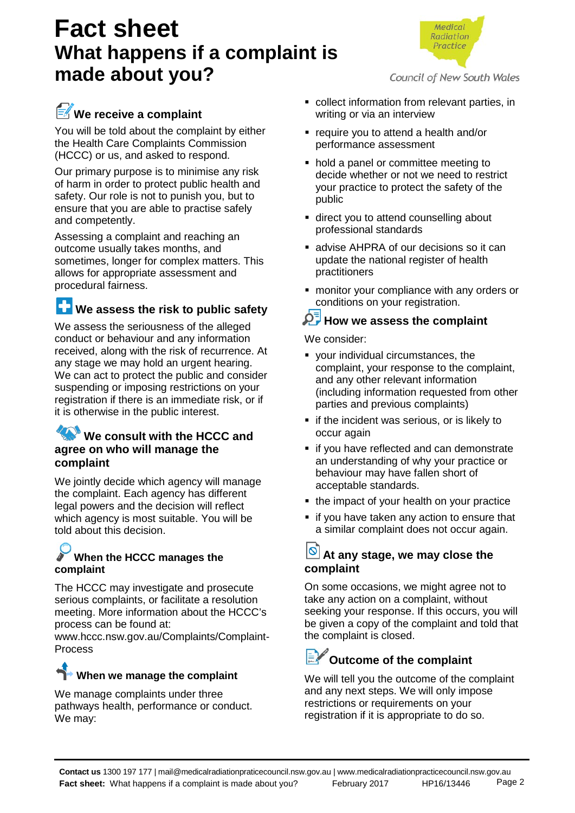# **Fact sheet What happens if a complaint is made about you?**



### We receive a complaint

You will be told about the complaint by either the Health Care Complaints Commission (HCCC) or us, and asked to respond.

Our primary purpose is to minimise any risk of harm in order to protect public health and safety. Our role is not to punish you, but to ensure that you are able to practise safely and competently.

Assessing a complaint and reaching an outcome usually takes months, and sometimes, longer for complex matters. This allows for appropriate assessment and procedural fairness.

### **We assess the risk to public safety**

We assess the seriousness of the alleged conduct or behaviour and any information received, along with the risk of recurrence. At any stage we may hold an urgent hearing. We can act to protect the public and consider suspending or imposing restrictions on your registration if there is an immediate risk, or if it is otherwise in the public interest.

### **We consult with the HCCC and agree on who will manage the complaint**

We jointly decide which agency will manage the complaint. Each agency has different legal powers and the decision will reflect which agency is most suitable. You will be told about this decision.

### **When the HCCC manages the complaint**

The HCCC may investigate and prosecute serious complaints, or facilitate a resolution meeting. More information about the HCCC's process can be found at:

www.hccc.nsw.gov.au/Complaints/Complaint-Process

### **When we manage the complaint**

We manage complaints under three pathways health, performance or conduct. We may:

- collect information from relevant parties, in writing or via an interview
- **•** require you to attend a health and/or performance assessment
- hold a panel or committee meeting to decide whether or not we need to restrict your practice to protect the safety of the public
- **direct you to attend counselling about** professional standards
- **Example 2 and The AHPRA of our decisions so it can** update the national register of health practitioners
- **n** monitor your compliance with any orders or conditions on your registration.

### **A** How we assess the complaint

We consider:

- your individual circumstances, the complaint, your response to the complaint, and any other relevant information (including information requested from other parties and previous complaints)
- **F** if the incident was serious, or is likely to occur again
- **if you have reflected and can demonstrate** an understanding of why your practice or behaviour may have fallen short of acceptable standards.
- the impact of your health on your practice
- **if you have taken any action to ensure that** a similar complaint does not occur again.

### **O** At any stage, we may close the **complaint**

On some occasions, we might agree not to take any action on a complaint, without seeking your response. If this occurs, you will be given a copy of the complaint and told that the complaint is closed.

# **Outcome of the complaint**

We will tell you the outcome of the complaint and any next steps. We will only impose restrictions or requirements on your registration if it is appropriate to do so.